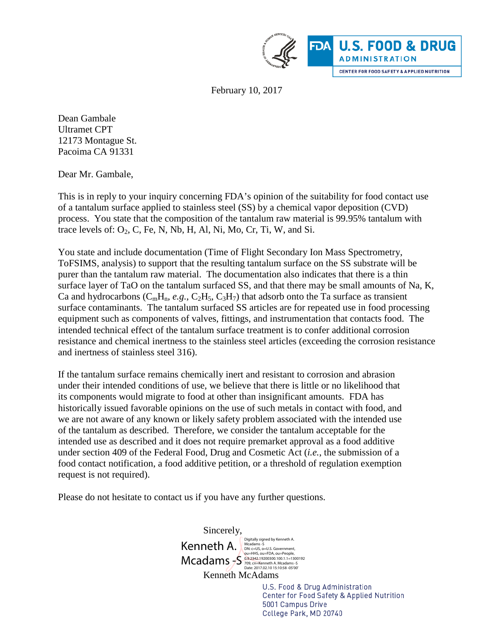

February 10, 2017

Dean Gambale Ultramet CPT 12173 Montague St. Pacoima CA 91331

Dear Mr. Gambale,

This is in reply to your inquiry concerning FDA's opinion of the suitability for food contact use of a tantalum surface applied to stainless steel (SS) by a chemical vapor deposition (CVD) process. You state that the composition of the tantalum raw material is 99.95% tantalum with trace levels of:  $O_2$ , C, Fe, N, Nb, H, Al, Ni, Mo, Cr, Ti, W, and Si.

You state and include documentation (Time of Flight Secondary Ion Mass Spectrometry, ToFSIMS, analysis) to support that the resulting tantalum surface on the SS substrate will be purer than the tantalum raw material. The documentation also indicates that there is a thin surface layer of TaO on the tantalum surfaced SS, and that there may be small amounts of Na, K, Ca and hydrocarbons  $(C_mH_n, e.g., C_2H_5, C_3H_7)$  that adsorb onto the Ta surface as transient surface contaminants. The tantalum surfaced SS articles are for repeated use in food processing equipment such as components of valves, fittings, and instrumentation that contacts food. The intended technical effect of the tantalum surface treatment is to confer additional corrosion resistance and chemical inertness to the stainless steel articles (exceeding the corrosion resistance and inertness of stainless steel 316).

If the tantalum surface remains chemically inert and resistant to corrosion and abrasion under their intended conditions of use, we believe that there is little or no likelihood that its components would migrate to food at other than insignificant amounts. FDA has historically issued favorable opinions on the use of such metals in contact with food, and we are not aware of any known or likely safety problem associated with the intended use of the tantalum as described. Therefore, we consider the tantalum acceptable for the intended use as described and it does not require premarket approval as a food additive under section 409 of the Federal Food, Drug and Cosmetic Act (*i.e.*, the submission of a food contact notification, a food additive petition, or a threshold of regulation exemption request is not required).

Please do not hesitate to contact us if you have any further questions.

Sincerely, Kenneth A. Bigitally signed by Kenneth A. Mcadams -S 00-HHS, OU=FDA, OU=People,<br>Mcadams -S 0.9.2342.19200300.100.1.1=1300192<br>Date: 2017.02.10 15:10:58 -05'00' Kenneth McAdams U.S. Food & Drug Administration Center for Food Safety & Applied Nutrition

5001 Campus Drive College Park, MD 20740